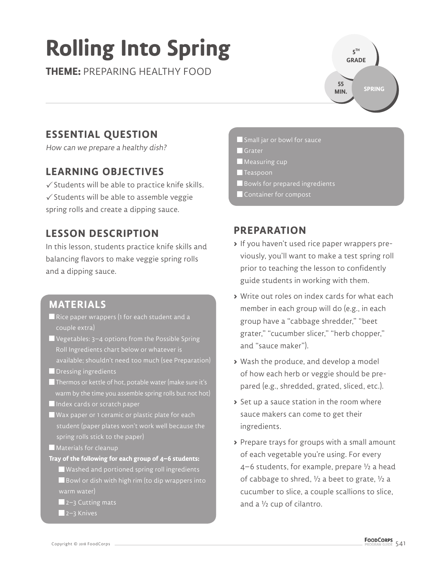# **Rolling Into Spring**

**THEME:** PREPARING HEALTHY FOOD

**5 TH GRADE SPRING 55 MIN.**

## **ESSENTIAL QUESTION**

How can we prepare a healthy dish?

## **LEARNING OBJECTIVES**

 $\checkmark$  Students will be able to practice knife skills.  $\checkmark$  Students will be able to assemble veggie spring rolls and create a dipping sauce.

#### **LESSON DESCRIPTION**

In this lesson, students practice knife skills and balancing flavors to make veggie spring rolls and a dipping sauce.

#### **MATERIALS**

- Rice paper wrappers (1 for each student and a couple extra)
- $\blacksquare$  Vegetables: 3–4 options from the Possible Spring Roll Ingredients chart below or whatever is available; shouldn't need too much (see Preparation)
- **Dressing ingredients**
- Thermos or kettle of hot, potable water (make sure it's warm by the time you assemble spring rolls but not hot) Index cards or scratch paper
- Wax paper or 1 ceramic or plastic plate for each spring rolls stick to the paper)
- **Materials for cleanup**
- **Tray of the following for each group of 4–6 students:**
	- Washed and portioned spring roll ingredients  $\blacksquare$  Bowl or dish with high rim (to dip wrappers into warm water)
	- $\blacksquare$  2–3 Cutting mats
	- ■2–3 Knives
- Small jar or bowl for sauce
- **Grater**
- **Measuring cup**
- $\blacksquare$  Teaspoon
- Bowls for prepared ingredients
- Container for compost

#### **PREPARATION**

- **>** If you haven't used rice paper wrappers previously, you'll want to make a test spring roll prior to teaching the lesson to confidently guide students in working with them.
- **>** Write out roles on index cards for what each member in each group will do (e.g., in each group have a "cabbage shredder," "beet grater," "cucumber slicer," "herb chopper," and "sauce maker").
- **>** Wash the produce, and develop a model of how each herb or veggie should be prepared (e.g., shredded, grated, sliced, etc.).
- **>** Set up a sauce station in the room where sauce makers can come to get their ingredients.
- **>** Prepare trays for groups with a small amount of each vegetable you're using. For every 4–6 students, for example, prepare ½ a head of cabbage to shred, ½ a beet to grate, ½ a cucumber to slice, a couple scallions to slice, and a ½ cup of cilantro.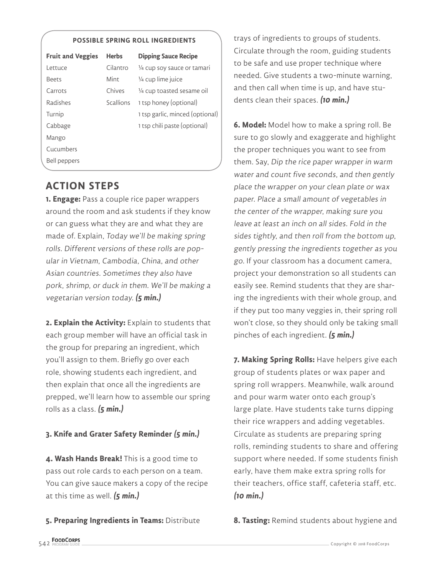#### **POSSIBLE SPRING ROLL INGREDIENTS**

| <b>Fruit and Veggies</b> | <b>Herbs</b> | <b>Dipping Sauce Recipe</b>     |
|--------------------------|--------------|---------------------------------|
| l ettuce                 | Cilantro     | 1/4 cup soy sauce or tamari     |
| <b>Beets</b>             | Mint         | 1/4 cup lime juice              |
| Carrots                  | Chives       | 1/4 cup toasted sesame oil      |
| Radishes                 | Scallions    | 1 tsp honey (optional)          |
| Turnip                   |              | 1 tsp garlic, minced (optional) |
| Cabbage                  |              | 1 tsp chili paste (optional)    |
| Mango                    |              |                                 |
| Cucumbers                |              |                                 |
| <b>Bell peppers</b>      |              |                                 |

#### **ACTION STEPS**

**1. Engage:** Pass a couple rice paper wrappers around the room and ask students if they know or can guess what they are and what they are made of. Explain, Today we'll be making spring rolls. Different versions of these rolls are popular in Vietnam, Cambodia, China, and other Asian countries. Sometimes they also have pork, shrimp, or duck in them. We'll be making a vegetarian version today. **(5 min.)**

**2. Explain the Activity:** Explain to students that each group member will have an official task in the group for preparing an ingredient, which you'll assign to them. Briefly go over each role, showing students each ingredient, and then explain that once all the ingredients are prepped, we'll learn how to assemble our spring rolls as a class. **(5 min.)**

#### **3. Knife and Grater Safety Reminder (5 min.)**

**4. Wash Hands Break!** This is a good time to pass out role cards to each person on a team. You can give sauce makers a copy of the recipe at this time as well. **(5 min.)**

#### **5. Preparing Ingredients in Teams:** Distribute

trays of ingredients to groups of students. Circulate through the room, guiding students to be safe and use proper technique where needed. Give students a two-minute warning, and then call when time is up, and have students clean their spaces. **(10 min.)**

**6. Model:** Model how to make a spring roll. Be sure to go slowly and exaggerate and highlight the proper techniques you want to see from them. Say, Dip the rice paper wrapper in warm water and count five seconds, and then gently place the wrapper on your clean plate or wax paper. Place a small amount of vegetables in the center of the wrapper, making sure you leave at least an inch on all sides. Fold in the sides tightly, and then roll from the bottom up, gently pressing the ingredients together as you go. If your classroom has a document camera, project your demonstration so all students can easily see. Remind students that they are sharing the ingredients with their whole group, and if they put too many veggies in, their spring roll won't close, so they should only be taking small pinches of each ingredient. **(5 min.)**

**7. Making Spring Rolls:** Have helpers give each group of students plates or wax paper and spring roll wrappers. Meanwhile, walk around and pour warm water onto each group's large plate. Have students take turns dipping their rice wrappers and adding vegetables. Circulate as students are preparing spring rolls, reminding students to share and offering support where needed. If some students finish early, have them make extra spring rolls for their teachers, office staff, cafeteria staff, etc. **(10 min.)**

**8. Tasting:** Remind students about hygiene and